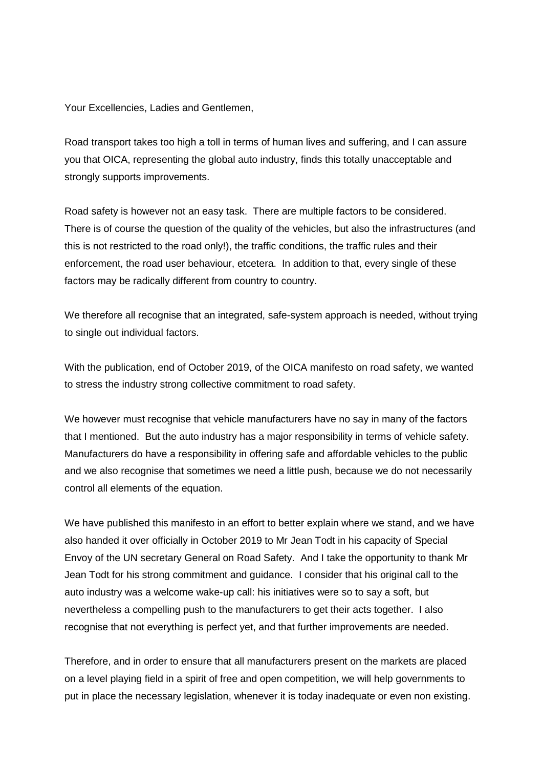Your Excellencies, Ladies and Gentlemen,

Road transport takes too high a toll in terms of human lives and suffering, and I can assure you that OICA, representing the global auto industry, finds this totally unacceptable and strongly supports improvements.

Road safety is however not an easy task. There are multiple factors to be considered. There is of course the question of the quality of the vehicles, but also the infrastructures (and this is not restricted to the road only!), the traffic conditions, the traffic rules and their enforcement, the road user behaviour, etcetera. In addition to that, every single of these factors may be radically different from country to country.

We therefore all recognise that an integrated, safe-system approach is needed, without trying to single out individual factors.

With the publication, end of October 2019, of the OICA manifesto on road safety, we wanted to stress the industry strong collective commitment to road safety.

We however must recognise that vehicle manufacturers have no say in many of the factors that I mentioned. But the auto industry has a major responsibility in terms of vehicle safety. Manufacturers do have a responsibility in offering safe and affordable vehicles to the public and we also recognise that sometimes we need a little push, because we do not necessarily control all elements of the equation.

We have published this manifesto in an effort to better explain where we stand, and we have also handed it over officially in October 2019 to Mr Jean Todt in his capacity of Special Envoy of the UN secretary General on Road Safety. And I take the opportunity to thank Mr Jean Todt for his strong commitment and guidance. I consider that his original call to the auto industry was a welcome wake-up call: his initiatives were so to say a soft, but nevertheless a compelling push to the manufacturers to get their acts together. I also recognise that not everything is perfect yet, and that further improvements are needed.

Therefore, and in order to ensure that all manufacturers present on the markets are placed on a level playing field in a spirit of free and open competition, we will help governments to put in place the necessary legislation, whenever it is today inadequate or even non existing.